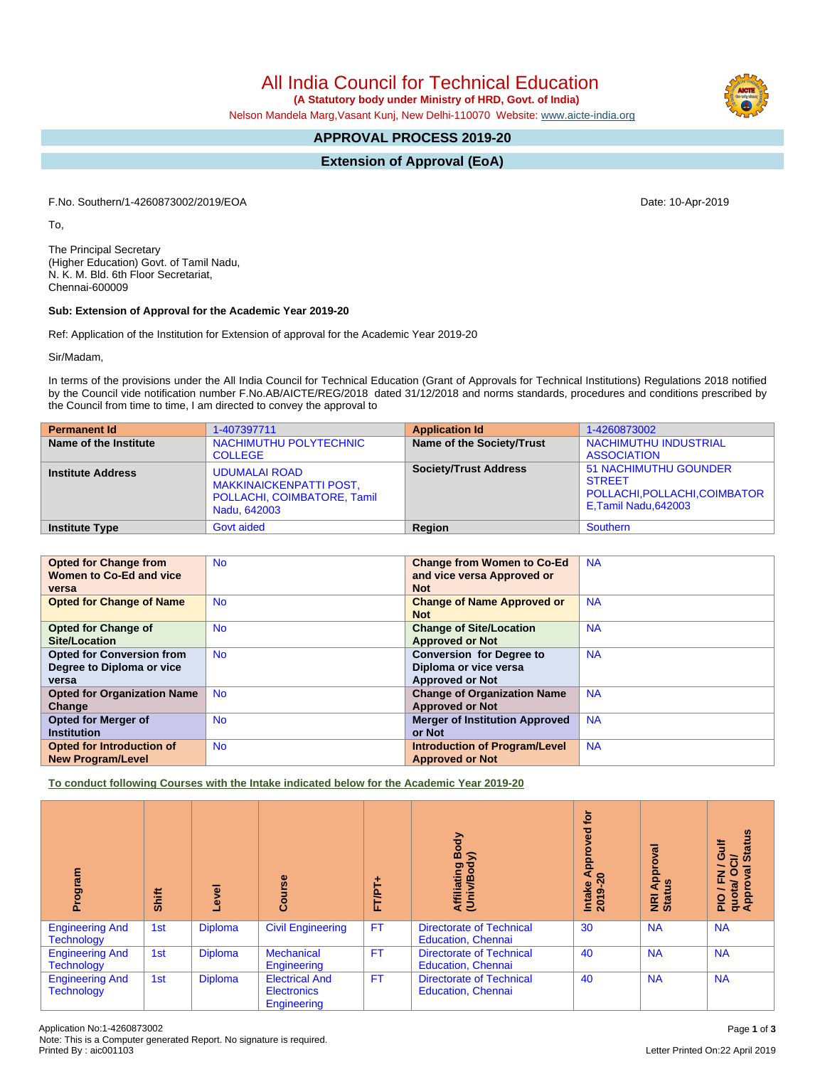All India Council for Technical Education

 **(A Statutory body under Ministry of HRD, Govt. of India)**

Nelson Mandela Marg,Vasant Kunj, New Delhi-110070 Website: [www.aicte-india.org](http://www.aicte-india.org)

## **APPROVAL PROCESS 2019-20**

**Extension of Approval (EoA)**

F.No. Southern/1-4260873002/2019/EOA Date: 10-Apr-2019

To,

The Principal Secretary (Higher Education) Govt. of Tamil Nadu, N. K. M. Bld. 6th Floor Secretariat, Chennai-600009

## **Sub: Extension of Approval for the Academic Year 2019-20**

Ref: Application of the Institution for Extension of approval for the Academic Year 2019-20

Sir/Madam,

In terms of the provisions under the All India Council for Technical Education (Grant of Approvals for Technical Institutions) Regulations 2018 notified by the Council vide notification number F.No.AB/AICTE/REG/2018 dated 31/12/2018 and norms standards, procedures and conditions prescribed by the Council from time to time, I am directed to convey the approval to

| <b>Permanent Id</b>      | 1-407397711                                                                                           | <b>Application Id</b>        | 1-4260873002                                                                                          |
|--------------------------|-------------------------------------------------------------------------------------------------------|------------------------------|-------------------------------------------------------------------------------------------------------|
| Name of the Institute    | NACHIMUTHU POLYTECHNIC<br><b>COLLEGE</b>                                                              | Name of the Society/Trust    | <b>NACHIMUTHU INDUSTRIAL</b><br><b>ASSOCIATION</b>                                                    |
| <b>Institute Address</b> | <b>UDUMALAI ROAD</b><br><b>MAKKINAICKENPATTI POST,</b><br>POLLACHI, COIMBATORE, Tamil<br>Nadu, 642003 | <b>Society/Trust Address</b> | <b>51 NACHIMUTHU GOUNDER</b><br><b>STREET</b><br>POLLACHI, POLLACHI, COIMBATOR<br>E,Tamil Nadu,642003 |
| <b>Institute Type</b>    | <b>Govt aided</b>                                                                                     | Region                       | Southern                                                                                              |

| <b>Opted for Change from</b>       | <b>No</b> | <b>Change from Women to Co-Ed</b>     | <b>NA</b> |
|------------------------------------|-----------|---------------------------------------|-----------|
| Women to Co-Ed and vice            |           | and vice versa Approved or            |           |
|                                    |           |                                       |           |
| versa                              |           | <b>Not</b>                            |           |
| <b>Opted for Change of Name</b>    | <b>No</b> | <b>Change of Name Approved or</b>     | <b>NA</b> |
|                                    |           | <b>Not</b>                            |           |
| <b>Opted for Change of</b>         | <b>No</b> | <b>Change of Site/Location</b>        | <b>NA</b> |
| <b>Site/Location</b>               |           | <b>Approved or Not</b>                |           |
| <b>Opted for Conversion from</b>   | <b>No</b> | <b>Conversion for Degree to</b>       | <b>NA</b> |
| Degree to Diploma or vice          |           | Diploma or vice versa                 |           |
| versa                              |           | <b>Approved or Not</b>                |           |
| <b>Opted for Organization Name</b> | <b>No</b> | <b>Change of Organization Name</b>    | <b>NA</b> |
| Change                             |           | <b>Approved or Not</b>                |           |
| <b>Opted for Merger of</b>         | <b>No</b> | <b>Merger of Institution Approved</b> | <b>NA</b> |
| <b>Institution</b>                 |           | or Not                                |           |
| Opted for Introduction of          | <b>No</b> | <b>Introduction of Program/Level</b>  | <b>NA</b> |
| <b>New Program/Level</b>           |           | <b>Approved or Not</b>                |           |

**To conduct following Courses with the Intake indicated below for the Academic Year 2019-20**

| Program                                     | Shift | Level          | Course                                                     | ۰<br><b>FT/PT</b> | Body<br>≲<br>Affiliating<br>(Univ/Bod <sub>)</sub>           | <b>b</b><br>ිලි<br>ම<br>$\bullet$<br>Intake Appro<br>2019-20 | ζā<br>Ö<br><b>App</b><br><b>NRI Ap</b><br>Status | <b>Status</b><br>₹<br>ဖ<br>ੋ<br>∽<br>w<br>준<br>O<br>quota/<br>Approv<br>∽<br>$\frac{1}{2}$ |
|---------------------------------------------|-------|----------------|------------------------------------------------------------|-------------------|--------------------------------------------------------------|--------------------------------------------------------------|--------------------------------------------------|--------------------------------------------------------------------------------------------|
| <b>Engineering And</b><br><b>Technology</b> | 1st   | <b>Diploma</b> | <b>Civil Engineering</b>                                   | <b>FT</b>         | <b>Directorate of Technical</b><br><b>Education, Chennai</b> | 30                                                           | <b>NA</b>                                        | <b>NA</b>                                                                                  |
| <b>Engineering And</b><br><b>Technology</b> | 1st   | <b>Diploma</b> | Mechanical<br>Engineering                                  | <b>FT</b>         | <b>Directorate of Technical</b><br><b>Education, Chennai</b> | 40                                                           | <b>NA</b>                                        | <b>NA</b>                                                                                  |
| <b>Engineering And</b><br><b>Technology</b> | 1st   | <b>Diploma</b> | <b>Electrical And</b><br><b>Electronics</b><br>Engineering | <b>FT</b>         | <b>Directorate of Technical</b><br><b>Education, Chennai</b> | 40                                                           | <b>NA</b>                                        | <b>NA</b>                                                                                  |

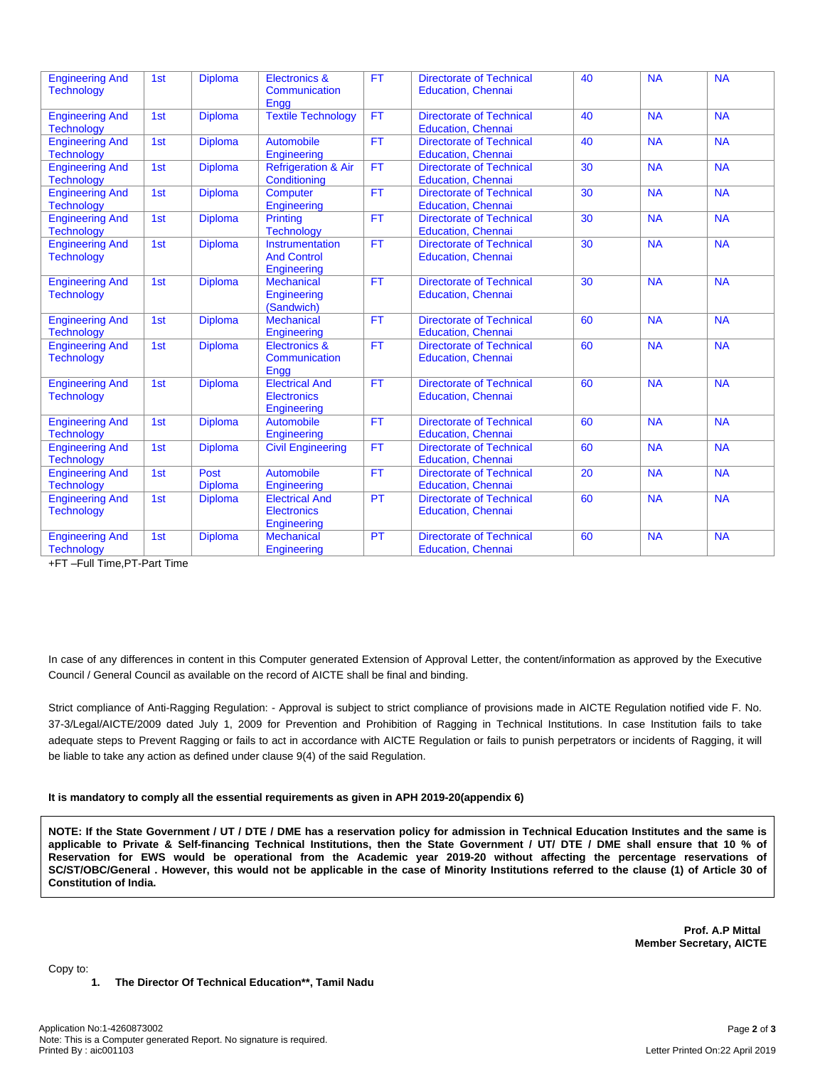| <b>Engineering And</b><br><b>Technology</b> | 1st | <b>Diploma</b>         | <b>Electronics &amp;</b><br>Communication<br>Engg          | <b>FT</b> | <b>Directorate of Technical</b><br><b>Education, Chennai</b> | 40 | <b>NA</b> | <b>NA</b> |  |
|---------------------------------------------|-----|------------------------|------------------------------------------------------------|-----------|--------------------------------------------------------------|----|-----------|-----------|--|
| <b>Engineering And</b><br><b>Technology</b> | 1st | <b>Diploma</b>         | <b>Textile Technology</b>                                  | <b>FT</b> | <b>Directorate of Technical</b><br><b>Education, Chennai</b> | 40 | <b>NA</b> | <b>NA</b> |  |
| <b>Engineering And</b><br><b>Technology</b> | 1st | <b>Diploma</b>         | Automobile<br>Engineering                                  | <b>FT</b> | <b>Directorate of Technical</b><br><b>Education, Chennai</b> | 40 | <b>NA</b> | <b>NA</b> |  |
| <b>Engineering And</b><br><b>Technology</b> | 1st | <b>Diploma</b>         | <b>Refrigeration &amp; Air</b><br>Conditioning             | <b>FT</b> | <b>Directorate of Technical</b><br><b>Education, Chennai</b> | 30 | <b>NA</b> | <b>NA</b> |  |
| <b>Engineering And</b><br><b>Technology</b> | 1st | <b>Diploma</b>         | Computer<br>Engineering                                    | <b>FT</b> | <b>Directorate of Technical</b><br><b>Education, Chennai</b> | 30 | <b>NA</b> | <b>NA</b> |  |
| <b>Engineering And</b><br><b>Technology</b> | 1st | <b>Diploma</b>         | Printing<br><b>Technology</b>                              | <b>FT</b> | <b>Directorate of Technical</b><br><b>Education, Chennai</b> | 30 | <b>NA</b> | <b>NA</b> |  |
| <b>Engineering And</b><br><b>Technology</b> | 1st | <b>Diploma</b>         | Instrumentation<br><b>And Control</b><br>Engineering       | <b>FT</b> | <b>Directorate of Technical</b><br><b>Education, Chennai</b> | 30 | <b>NA</b> | <b>NA</b> |  |
| <b>Engineering And</b><br><b>Technology</b> | 1st | Diploma                | <b>Mechanical</b><br>Engineering<br>(Sandwich)             | <b>FT</b> | <b>Directorate of Technical</b><br><b>Education, Chennai</b> | 30 | <b>NA</b> | <b>NA</b> |  |
| <b>Engineering And</b><br><b>Technology</b> | 1st | <b>Diploma</b>         | <b>Mechanical</b><br>Engineering                           | <b>FT</b> | <b>Directorate of Technical</b><br><b>Education, Chennai</b> | 60 | <b>NA</b> | <b>NA</b> |  |
| <b>Engineering And</b><br><b>Technology</b> | 1st | <b>Diploma</b>         | <b>Electronics &amp;</b><br>Communication<br>Engg          | <b>FT</b> | <b>Directorate of Technical</b><br><b>Education, Chennai</b> | 60 | <b>NA</b> | <b>NA</b> |  |
| <b>Engineering And</b><br><b>Technology</b> | 1st | <b>Diploma</b>         | <b>Electrical And</b><br><b>Electronics</b><br>Engineering | <b>FT</b> | <b>Directorate of Technical</b><br><b>Education, Chennai</b> | 60 | <b>NA</b> | <b>NA</b> |  |
| <b>Engineering And</b><br><b>Technology</b> | 1st | <b>Diploma</b>         | Automobile<br><b>Engineering</b>                           | <b>FT</b> | <b>Directorate of Technical</b><br><b>Education, Chennai</b> | 60 | <b>NA</b> | <b>NA</b> |  |
| <b>Engineering And</b><br><b>Technology</b> | 1st | <b>Diploma</b>         | <b>Civil Engineering</b>                                   | <b>FT</b> | <b>Directorate of Technical</b><br><b>Education, Chennai</b> | 60 | <b>NA</b> | <b>NA</b> |  |
| <b>Engineering And</b><br><b>Technology</b> | 1st | Post<br><b>Diploma</b> | Automobile<br>Engineering                                  | <b>FT</b> | <b>Directorate of Technical</b><br><b>Education, Chennai</b> | 20 | <b>NA</b> | <b>NA</b> |  |
| <b>Engineering And</b><br><b>Technology</b> | 1st | <b>Diploma</b>         | <b>Electrical And</b><br>Electronics<br>Engineering        | PT        | <b>Directorate of Technical</b><br><b>Education, Chennai</b> | 60 | <b>NA</b> | <b>NA</b> |  |
| <b>Engineering And</b><br><b>Technology</b> | 1st | <b>Diploma</b>         | <b>Mechanical</b><br>Engineering                           | PT        | <b>Directorate of Technical</b><br><b>Education, Chennai</b> | 60 | <b>NA</b> | <b>NA</b> |  |

+FT –Full Time,PT-Part Time

In case of any differences in content in this Computer generated Extension of Approval Letter, the content/information as approved by the Executive Council / General Council as available on the record of AICTE shall be final and binding.

Strict compliance of Anti-Ragging Regulation: - Approval is subject to strict compliance of provisions made in AICTE Regulation notified vide F. No. 37-3/Legal/AICTE/2009 dated July 1, 2009 for Prevention and Prohibition of Ragging in Technical Institutions. In case Institution fails to take adequate steps to Prevent Ragging or fails to act in accordance with AICTE Regulation or fails to punish perpetrators or incidents of Ragging, it will be liable to take any action as defined under clause 9(4) of the said Regulation.

## **It is mandatory to comply all the essential requirements as given in APH 2019-20(appendix 6)**

NOTE: If the State Government / UT / DTE / DME has a reservation policy for admission in Technical Education Institutes and the same is applicable to Private & Self-financing Technical Institutions, then the State Government / UT/ DTE / DME shall ensure that 10 % of Reservation for EWS would be operational from the Academic year 2019-20 without affecting the percentage reservations of SC/ST/OBC/General . However, this would not be applicable in the case of Minority Institutions referred to the clause (1) of Article 30 of **Constitution of India.**

> **Prof. A.P Mittal Member Secretary, AICTE**